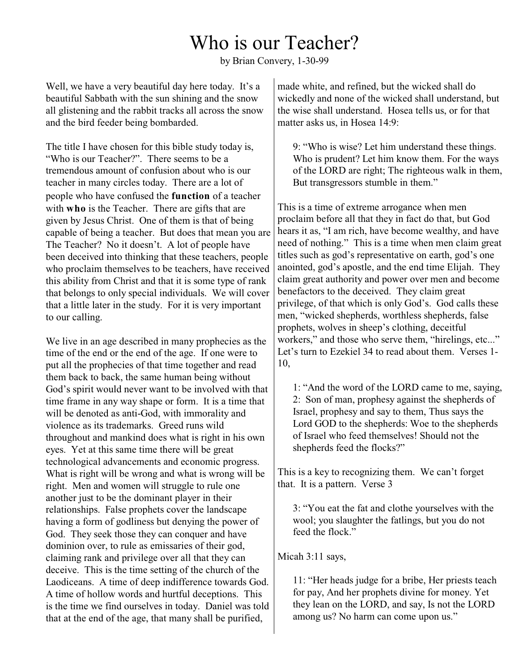## Who is our Teacher?

by Brian Convery, 1-30-99

Well, we have a very beautiful day here today. It's a beautiful Sabbath with the sun shining and the snow all glistening and the rabbit tracks all across the snow and the bird feeder being bombarded.

The title I have chosen for this bible study today is, "Who is our Teacher?". There seems to be a tremendous amount of confusion about who is our teacher in many circles today. There are a lot of people who have confused the **function** of a teacher with **who** is the Teacher. There are gifts that are given by Jesus Christ. One of them is that of being capable of being a teacher. But does that mean you are The Teacher? No it doesn't. A lot of people have been deceived into thinking that these teachers, people who proclaim themselves to be teachers, have received this ability from Christ and that it is some type of rank that belongs to only special individuals. We will cover that a little later in the study. For it is very important to our calling.

We live in an age described in many prophecies as the time of the end or the end of the age. If one were to put all the prophecies of that time together and read them back to back, the same human being without God's spirit would never want to be involved with that time frame in any way shape or form. It is a time that will be denoted as anti-God, with immorality and violence as its trademarks. Greed runs wild throughout and mankind does what is right in his own eyes. Yet at this same time there will be great technological advancements and economic progress. What is right will be wrong and what is wrong will be right. Men and women will struggle to rule one another just to be the dominant player in their relationships. False prophets cover the landscape having a form of godliness but denying the power of God. They seek those they can conquer and have dominion over, to rule as emissaries of their god, claiming rank and privilege over all that they can deceive. This is the time setting of the church of the Laodiceans. A time of deep indifference towards God. A time of hollow words and hurtful deceptions. This is the time we find ourselves in today. Daniel was told that at the end of the age, that many shall be purified,

made white, and refined, but the wicked shall do wickedly and none of the wicked shall understand, but the wise shall understand. Hosea tells us, or for that matter asks us, in Hosea 14:9:

9: "Who is wise? Let him understand these things. Who is prudent? Let him know them. For the ways of the LORD are right; The righteous walk in them, But transgressors stumble in them."

This is a time of extreme arrogance when men proclaim before all that they in fact do that, but God hears it as, "I am rich, have become wealthy, and have need of nothing." This is a time when men claim great titles such as god's representative on earth, god's one anointed, god's apostle, and the end time Elijah. They claim great authority and power over men and become benefactors to the deceived. They claim great privilege, of that which is only God's. God calls these men, "wicked shepherds, worthless shepherds, false prophets, wolves in sheep's clothing, deceitful workers," and those who serve them, "hirelings, etc..." Let's turn to Ezekiel 34 to read about them. Verses 1-10,

1: "And the word of the LORD came to me, saying, 2: Son of man, prophesy against the shepherds of Israel, prophesy and say to them, Thus says the Lord GOD to the shepherds: Woe to the shepherds of Israel who feed themselves! Should not the shepherds feed the flocks?"

This is a key to recognizing them. We can't forget that. It is a pattern. Verse 3

3: "You eat the fat and clothe yourselves with the wool; you slaughter the fatlings, but you do not feed the flock."

Micah 3:11 says,

11: "Her heads judge for a bribe, Her priests teach for pay, And her prophets divine for money. Yet they lean on the LORD, and say, Is not the LORD among us? No harm can come upon us."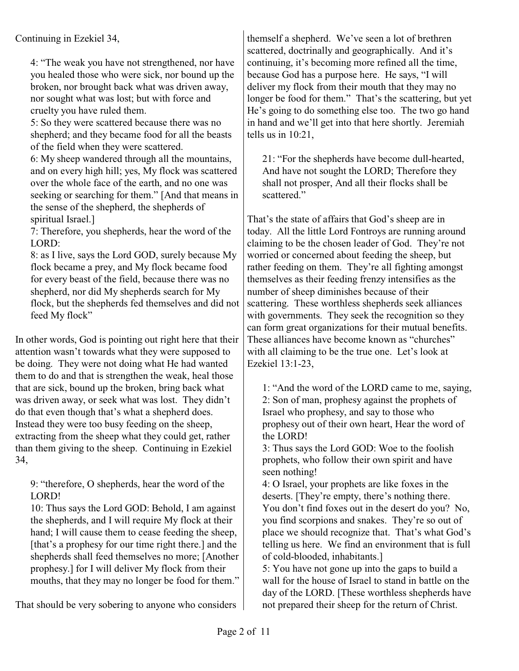Continuing in Ezekiel 34,

4: "The weak you have not strengthened, nor have you healed those who were sick, nor bound up the broken, nor brought back what was driven away, nor sought what was lost; but with force and cruelty you have ruled them.

5: So they were scattered because there was no shepherd; and they became food for all the beasts of the field when they were scattered.

6: My sheep wandered through all the mountains, and on every high hill; yes, My flock was scattered over the whole face of the earth, and no one was seeking or searching for them." [And that means in the sense of the shepherd, the shepherds of spiritual Israel.]

7: Therefore, you shepherds, hear the word of the LORD:

8: as I live, says the Lord GOD, surely because My flock became a prey, and My flock became food for every beast of the field, because there was no shepherd, nor did My shepherds search for My flock, but the shepherds fed themselves and did not feed My flock"

In other words, God is pointing out right here that their attention wasn't towards what they were supposed to be doing. They were not doing what He had wanted them to do and that is strengthen the weak, heal those that are sick, bound up the broken, bring back what was driven away, or seek what was lost. They didn't do that even though that's what a shepherd does. Instead they were too busy feeding on the sheep, extracting from the sheep what they could get, rather than them giving to the sheep. Continuing in Ezekiel 34,

9: "therefore, O shepherds, hear the word of the LORD!

10: Thus says the Lord GOD: Behold, I am against the shepherds, and I will require My flock at their hand; I will cause them to cease feeding the sheep, [that's a prophesy for our time right there.] and the shepherds shall feed themselves no more; [Another prophesy.] for I will deliver My flock from their mouths, that they may no longer be food for them."

That should be very sobering to anyone who considers

themself a shepherd. We've seen a lot of brethren scattered, doctrinally and geographically. And it's continuing, it's becoming more refined all the time, because God has a purpose here. He says, "I will deliver my flock from their mouth that they may no longer be food for them." That's the scattering, but yet He's going to do something else too. The two go hand in hand and we'll get into that here shortly. Jeremiah tells us in 10:21,

21: "For the shepherds have become dull-hearted, And have not sought the LORD; Therefore they shall not prosper, And all their flocks shall be scattered."

That's the state of affairs that God's sheep are in today. All the little Lord Fontroys are running around claiming to be the chosen leader of God. They're not worried or concerned about feeding the sheep, but rather feeding on them. They're all fighting amongst themselves as their feeding frenzy intensifies as the number of sheep diminishes because of their scattering. These worthless shepherds seek alliances with governments. They seek the recognition so they can form great organizations for their mutual benefits. These alliances have become known as "churches" with all claiming to be the true one. Let's look at Ezekiel 13:1-23,

1: "And the word of the LORD came to me, saying, 2: Son of man, prophesy against the prophets of Israel who prophesy, and say to those who prophesy out of their own heart, Hear the word of the LORD!

3: Thus says the Lord GOD: Woe to the foolish prophets, who follow their own spirit and have seen nothing!

4: O Israel, your prophets are like foxes in the deserts. [They're empty, there's nothing there. You don't find foxes out in the desert do you? No, you find scorpions and snakes. They're so out of place we should recognize that. That's what God's telling us here. We find an environment that is full of cold-blooded, inhabitants.]

5: You have not gone up into the gaps to build a wall for the house of Israel to stand in battle on the day of the LORD. [These worthless shepherds have not prepared their sheep for the return of Christ.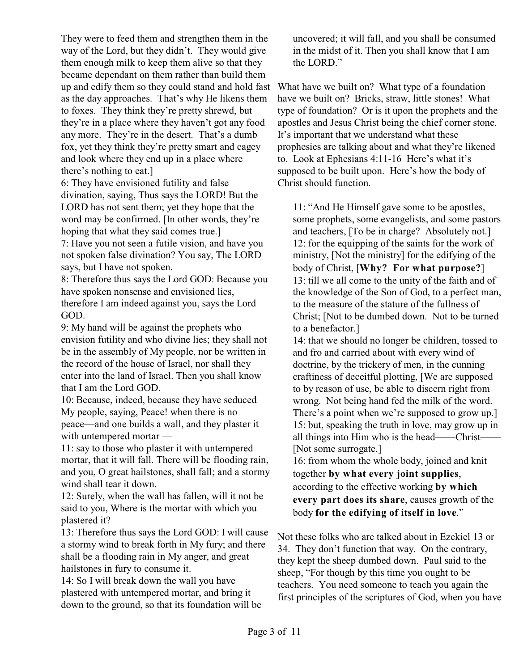They were to feed them and strengthen them in the way of the Lord, but they didn't. They would give them enough milk to keep them alive so that they became dependant on them rather than build them up and edify them so they could stand and hold fast as the day approaches. That's why He likens them to foxes. They think they're pretty shrewd, but they're in a place where they haven't got any food any more. They're in the desert. That's a dumb fox, yet they think they're pretty smart and cagey and look where they end up in a place where there's nothing to eat.]

6: They have envisioned futility and false divination, saying, Thus says the LORD! But the LORD has not sent them; yet they hope that the word may be confirmed. [In other words, they're hoping that what they said comes true.]

7: Have you not seen a futile vision, and have you not spoken false divination? You say, The LORD says, but I have not spoken.

8: Therefore thus says the Lord GOD: Because you have spoken nonsense and envisioned lies, therefore I am indeed against you, says the Lord GOD.

9: My hand will be against the prophets who envision futility and who divine lies; they shall not be in the assembly of My people, nor be written in the record of the house of Israel, nor shall they enter into the land of Israel. Then you shall know that I am the Lord GOD.

10: Because, indeed, because they have seduced My people, saying, Peace! when there is no peace—and one builds a wall, and they plaster it with untempered mortar —

11: say to those who plaster it with untempered mortar, that it will fall. There will be flooding rain, and you, O great hailstones, shall fall; and a stormy wind shall tear it down.

12: Surely, when the wall has fallen, will it not be said to you, Where is the mortar with which you plastered it?

13: Therefore thus says the Lord GOD: I will cause a stormy wind to break forth in My fury; and there shall be a flooding rain in My anger, and great hailstones in fury to consume it.

14: So I will break down the wall you have plastered with untempered mortar, and bring it down to the ground, so that its foundation will be uncovered; it will fall, and you shall be consumed in the midst of it. Then you shall know that I am the LORD."

What have we built on? What type of a foundation have we built on? Bricks, straw, little stones! What type of foundation? Or is it upon the prophets and the apostles and Jesus Christ being the chief corner stone. It's important that we understand what these prophesies are talking about and what they're likened to. Look at Ephesians 4:11-16 Here's what it's supposed to be built upon. Here's how the body of Christ should function.

11: "And He Himself gave some to be apostles, some prophets, some evangelists, and some pastors and teachers, [To be in charge? Absolutely not.] 12: for the equipping of the saints for the work of ministry, [Not the ministry] for the edifying of the body of Christ, [**Why? For what purpose?**] 13: till we all come to the unity of the faith and of the knowledge of the Son of God, to a perfect man, to the measure of the stature of the fullness of Christ; [Not to be dumbed down. Not to be turned to a benefactor.]

14: that we should no longer be children, tossed to and fro and carried about with every wind of doctrine, by the trickery of men, in the cunning craftiness of deceitful plotting, [We are supposed to by reason of use, be able to discern right from wrong. Not being hand fed the milk of the word. There's a point when we're supposed to grow up.] 15: but, speaking the truth in love, may grow up in all things into Him who is the head——Christ—— [Not some surrogate.]

16: from whom the whole body, joined and knit together **by what every joint supplies**, according to the effective working **by which every part does its share**, causes growth of the body **for the edifying of itself in love**."

Not these folks who are talked about in Ezekiel 13 or 34. They don't function that way. On the contrary, they kept the sheep dumbed down. Paul said to the sheep, "For though by this time you ought to be teachers. You need someone to teach you again the first principles of the scriptures of God, when you have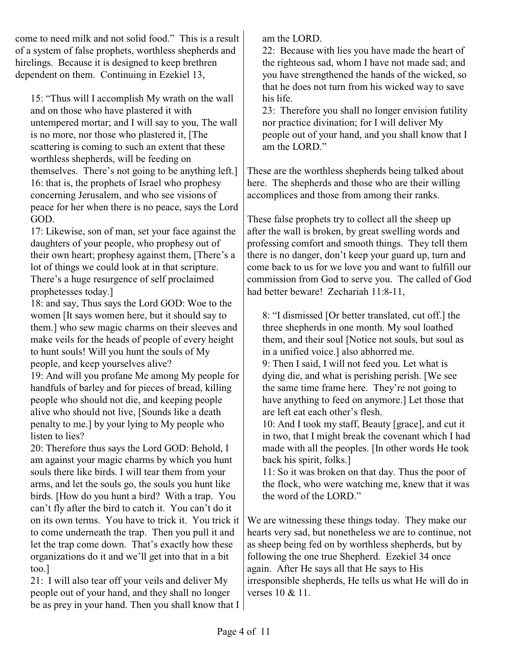come to need milk and not solid food." This is a result of a system of false prophets, worthless shepherds and hirelings. Because it is designed to keep brethren dependent on them. Continuing in Ezekiel 13,

15: "Thus will I accomplish My wrath on the wall and on those who have plastered it with untempered mortar; and I will say to you, The wall is no more, nor those who plastered it, [The scattering is coming to such an extent that these worthless shepherds, will be feeding on themselves. There's not going to be anything left.] 16: that is, the prophets of Israel who prophesy concerning Jerusalem, and who see visions of peace for her when there is no peace, says the Lord GOD.

17: Likewise, son of man, set your face against the daughters of your people, who prophesy out of their own heart; prophesy against them, [There's a lot of things we could look at in that scripture. There's a huge resurgence of self proclaimed prophetesses today.]

18: and say, Thus says the Lord GOD: Woe to the women [It says women here, but it should say to them.] who sew magic charms on their sleeves and make veils for the heads of people of every height to hunt souls! Will you hunt the souls of My people, and keep yourselves alive?

19: And will you profane Me among My people for handfuls of barley and for pieces of bread, killing people who should not die, and keeping people alive who should not live, [Sounds like a death penalty to me.] by your lying to My people who listen to lies?

20: Therefore thus says the Lord GOD: Behold, I am against your magic charms by which you hunt souls there like birds. I will tear them from your arms, and let the souls go, the souls you hunt like birds. [How do you hunt a bird? With a trap. You can't fly after the bird to catch it. You can't do it on its own terms. You have to trick it. You trick it to come underneath the trap. Then you pull it and let the trap come down. That's exactly how these organizations do it and we'll get into that in a bit too.]

21: I will also tear off your veils and deliver My people out of your hand, and they shall no longer be as prey in your hand. Then you shall know that I am the LORD.

22: Because with lies you have made the heart of the righteous sad, whom I have not made sad; and you have strengthened the hands of the wicked, so that he does not turn from his wicked way to save his life.

23: Therefore you shall no longer envision futility nor practice divination; for I will deliver My people out of your hand, and you shall know that I am the LORD."

These are the worthless shepherds being talked about here. The shepherds and those who are their willing accomplices and those from among their ranks.

These false prophets try to collect all the sheep up after the wall is broken, by great swelling words and professing comfort and smooth things. They tell them there is no danger, don't keep your guard up, turn and come back to us for we love you and want to fulfill our commission from God to serve you. The called of God had better beware! Zechariah 11:8-11,

8: "I dismissed [Or better translated, cut off.] the three shepherds in one month. My soul loathed them, and their soul [Notice not souls, but soul as in a unified voice.] also abhorred me.

9: Then I said, I will not feed you. Let what is dying die, and what is perishing perish. [We see the same time frame here. They're not going to have anything to feed on anymore.] Let those that are left eat each other's flesh.

10: And I took my staff, Beauty [grace], and cut it in two, that I might break the covenant which I had made with all the peoples. [In other words He took back his spirit, folks.]

11: So it was broken on that day. Thus the poor of the flock, who were watching me, knew that it was the word of the LORD."

We are witnessing these things today. They make our hearts very sad, but nonetheless we are to continue, not as sheep being fed on by worthless shepherds, but by following the one true Shepherd. Ezekiel 34 once again. After He says all that He says to His irresponsible shepherds, He tells us what He will do in verses 10 & 11.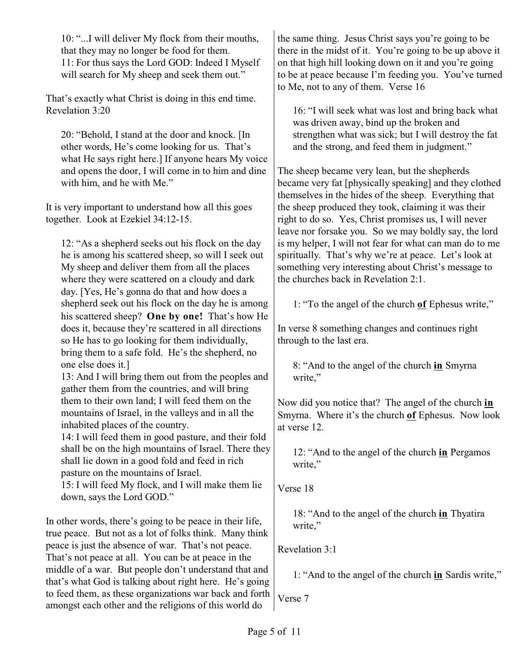10: "...I will deliver My flock from their mouths, that they may no longer be food for them. 11: For thus says the Lord GOD: Indeed I Myself will search for My sheep and seek them out."

That's exactly what Christ is doing in this end time. Revelation 3:20

20: "Behold, I stand at the door and knock. [In other words, He's come looking for us. That's what He says right here.] If anyone hears My voice and opens the door, I will come in to him and dine with him, and he with Me."

It is very important to understand how all this goes together. Look at Ezekiel 34:12-15.

12: "As a shepherd seeks out his flock on the day he is among his scattered sheep, so will I seek out My sheep and deliver them from all the places where they were scattered on a cloudy and dark day. [Yes, He's gonna do that and how does a shepherd seek out his flock on the day he is among his scattered sheep? **One by one!** That's how He does it, because they're scattered in all directions so He has to go looking for them individually, bring them to a safe fold. He's the shepherd, no one else does it.]

13: And I will bring them out from the peoples and gather them from the countries, and will bring them to their own land; I will feed them on the mountains of Israel, in the valleys and in all the inhabited places of the country.

14: I will feed them in good pasture, and their fold shall be on the high mountains of Israel. There they shall lie down in a good fold and feed in rich pasture on the mountains of Israel. 15: I will feed My flock, and I will make them lie down, says the Lord GOD."

In other words, there's going to be peace in their life, true peace. But not as a lot of folks think. Many think peace is just the absence of war. That's not peace. That's not peace at all. You can be at peace in the middle of a war. But people don't understand that and that's what God is talking about right here. He's going to feed them, as these organizations war back and forth amongst each other and the religions of this world do

the same thing. Jesus Christ says you're going to be there in the midst of it. You're going to be up above it on that high hill looking down on it and you're going to be at peace because I'm feeding you. You've turned to Me, not to any of them. Verse 16

16: "I will seek what was lost and bring back what was driven away, bind up the broken and strengthen what was sick; but I will destroy the fat and the strong, and feed them in judgment."

The sheep became very lean, but the shepherds became very fat [physically speaking] and they clothed themselves in the hides of the sheep. Everything that the sheep produced they took, claiming it was their right to do so. Yes, Christ promises us, I will never leave nor forsake you. So we may boldly say, the lord is my helper, I will not fear for what can man do to me spiritually. That's why we're at peace. Let's look at something very interesting about Christ's message to the churches back in Revelation 2:1.

1: "To the angel of the church **of** Ephesus write,"

In verse 8 something changes and continues right through to the last era.

8: "And to the angel of the church **in** Smyrna write,"

Now did you notice that? The angel of the church **in** Smyrna. Where it's the church **of** Ephesus. Now look at verse 12.

12: "And to the angel of the church **in** Pergamos write,"

Verse 18

18: "And to the angel of the church **in** Thyatira write,"

Revelation 3:1

1: "And to the angel of the church **in** Sardis write,"

Verse 7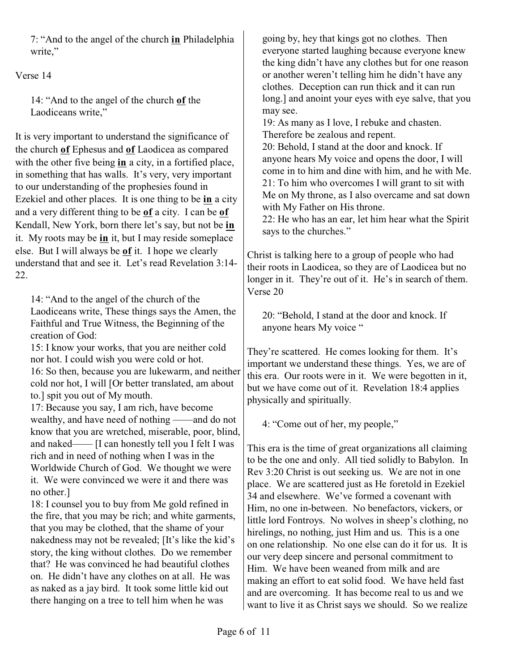7: "And to the angel of the church **in** Philadelphia write."

Verse 14

14: "And to the angel of the church **of** the Laodiceans write,"

It is very important to understand the significance of the church **of** Ephesus and **of** Laodicea as compared with the other five being **in** a city, in a fortified place, in something that has walls. It's very, very important to our understanding of the prophesies found in Ezekiel and other places. It is one thing to be **in** a city and a very different thing to be **of** a city. I can be **of** Kendall, New York, born there let's say, but not be **in** it. My roots may be **in** it, but I may reside someplace else. But I will always be **of** it. I hope we clearly understand that and see it. Let's read Revelation 3:14- 22.

14: "And to the angel of the church of the Laodiceans write, These things says the Amen, the Faithful and True Witness, the Beginning of the creation of God:

15: I know your works, that you are neither cold nor hot. I could wish you were cold or hot.

16: So then, because you are lukewarm, and neither cold nor hot, I will [Or better translated, am about to.] spit you out of My mouth.

17: Because you say, I am rich, have become wealthy, and have need of nothing ——and do not know that you are wretched, miserable, poor, blind, and naked—— [I can honestly tell you I felt I was rich and in need of nothing when I was in the Worldwide Church of God. We thought we were it. We were convinced we were it and there was no other.]

18: I counsel you to buy from Me gold refined in the fire, that you may be rich; and white garments, that you may be clothed, that the shame of your nakedness may not be revealed; [It's like the kid's story, the king without clothes. Do we remember that? He was convinced he had beautiful clothes on. He didn't have any clothes on at all. He was as naked as a jay bird. It took some little kid out there hanging on a tree to tell him when he was

going by, hey that kings got no clothes. Then everyone started laughing because everyone knew the king didn't have any clothes but for one reason or another weren't telling him he didn't have any clothes. Deception can run thick and it can run long.] and anoint your eyes with eye salve, that you may see.

19: As many as I love, I rebuke and chasten. Therefore be zealous and repent.

20: Behold, I stand at the door and knock. If anyone hears My voice and opens the door, I will come in to him and dine with him, and he with Me. 21: To him who overcomes I will grant to sit with Me on My throne, as I also overcame and sat down with My Father on His throne.

22: He who has an ear, let him hear what the Spirit says to the churches."

Christ is talking here to a group of people who had their roots in Laodicea, so they are of Laodicea but no longer in it. They're out of it. He's in search of them. Verse 20

20: "Behold, I stand at the door and knock. If anyone hears My voice "

They're scattered. He comes looking for them. It's important we understand these things. Yes, we are of this era. Our roots were in it. We were begotten in it, but we have come out of it. Revelation 18:4 applies physically and spiritually.

4: "Come out of her, my people,"

This era is the time of great organizations all claiming to be the one and only. All tied solidly to Babylon. In Rev 3:20 Christ is out seeking us. We are not in one place. We are scattered just as He foretold in Ezekiel 34 and elsewhere. We've formed a covenant with Him, no one in-between. No benefactors, vickers, or little lord Fontroys. No wolves in sheep's clothing, no hirelings, no nothing, just Him and us. This is a one on one relationship. No one else can do it for us. It is our very deep sincere and personal commitment to Him. We have been weaned from milk and are making an effort to eat solid food. We have held fast and are overcoming. It has become real to us and we want to live it as Christ says we should. So we realize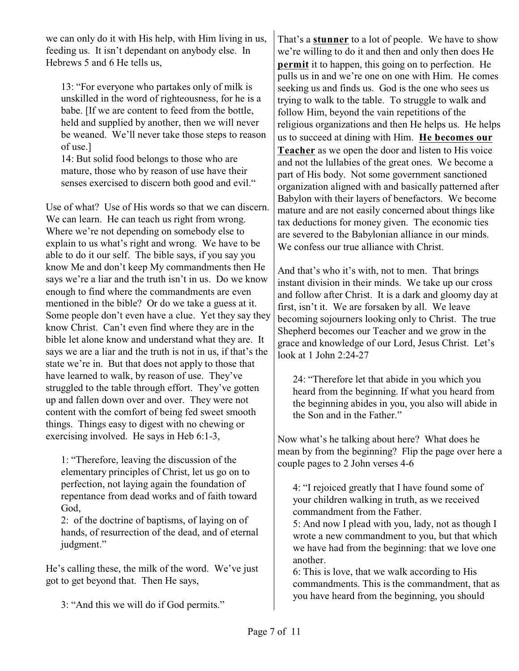we can only do it with His help, with Him living in us, feeding us. It isn't dependant on anybody else. In Hebrews 5 and 6 He tells us,

13: "For everyone who partakes only of milk is unskilled in the word of righteousness, for he is a babe. [If we are content to feed from the bottle, held and supplied by another, then we will never be weaned. We'll never take those steps to reason of use.]

14: But solid food belongs to those who are mature, those who by reason of use have their senses exercised to discern both good and evil."

Use of what? Use of His words so that we can discern. We can learn. He can teach us right from wrong. Where we're not depending on somebody else to explain to us what's right and wrong. We have to be able to do it our self. The bible says, if you say you know Me and don't keep My commandments then He says we're a liar and the truth isn't in us. Do we know enough to find where the commandments are even mentioned in the bible? Or do we take a guess at it. Some people don't even have a clue. Yet they say they know Christ. Can't even find where they are in the bible let alone know and understand what they are. It says we are a liar and the truth is not in us, if that's the state we're in. But that does not apply to those that have learned to walk, by reason of use. They've struggled to the table through effort. They've gotten up and fallen down over and over. They were not content with the comfort of being fed sweet smooth things. Things easy to digest with no chewing or exercising involved. He says in Heb 6:1-3,

1: "Therefore, leaving the discussion of the elementary principles of Christ, let us go on to perfection, not laying again the foundation of repentance from dead works and of faith toward God,

2: of the doctrine of baptisms, of laying on of hands, of resurrection of the dead, and of eternal judgment."

He's calling these, the milk of the word. We've just got to get beyond that. Then He says,

3: "And this we will do if God permits."

That's a **stunner** to a lot of people. We have to show we're willing to do it and then and only then does He **permit** it to happen, this going on to perfection. He pulls us in and we're one on one with Him. He comes seeking us and finds us. God is the one who sees us trying to walk to the table. To struggle to walk and follow Him, beyond the vain repetitions of the religious organizations and then He helps us. He helps us to succeed at dining with Him. **He becomes our Teacher** as we open the door and listen to His voice and not the lullabies of the great ones. We become a part of His body. Not some government sanctioned organization aligned with and basically patterned after Babylon with their layers of benefactors. We become mature and are not easily concerned about things like tax deductions for money given. The economic ties are severed to the Babylonian alliance in our minds. We confess our true alliance with Christ.

And that's who it's with, not to men. That brings instant division in their minds. We take up our cross and follow after Christ. It is a dark and gloomy day at first, isn't it. We are forsaken by all. We leave becoming sojourners looking only to Christ. The true Shepherd becomes our Teacher and we grow in the grace and knowledge of our Lord, Jesus Christ. Let's look at 1 John 2:24-27

24: "Therefore let that abide in you which you heard from the beginning. If what you heard from the beginning abides in you, you also will abide in the Son and in the Father."

Now what's he talking about here? What does he mean by from the beginning? Flip the page over here a couple pages to 2 John verses 4-6

4: "I rejoiced greatly that I have found some of your children walking in truth, as we received commandment from the Father.

5: And now I plead with you, lady, not as though I wrote a new commandment to you, but that which we have had from the beginning: that we love one another.

6: This is love, that we walk according to His commandments. This is the commandment, that as you have heard from the beginning, you should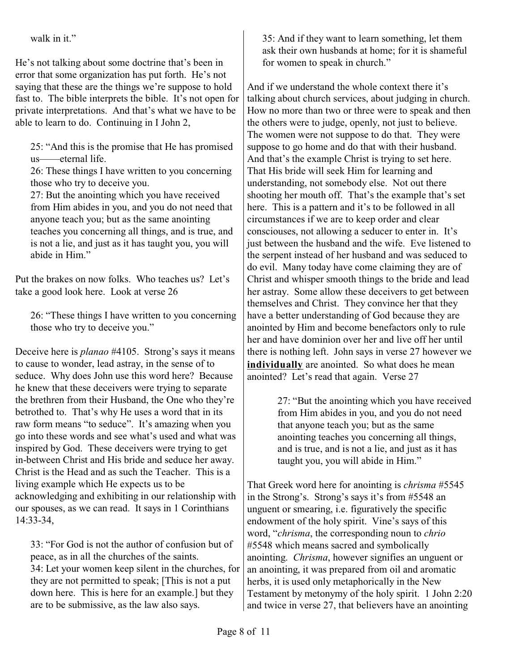walk in it."

He's not talking about some doctrine that's been in error that some organization has put forth. He's not saying that these are the things we're suppose to hold fast to. The bible interprets the bible. It's not open for private interpretations. And that's what we have to be able to learn to do. Continuing in I John 2,

25: "And this is the promise that He has promised us——eternal life.

26: These things I have written to you concerning those who try to deceive you.

27: But the anointing which you have received from Him abides in you, and you do not need that anyone teach you; but as the same anointing teaches you concerning all things, and is true, and is not a lie, and just as it has taught you, you will abide in Him."

Put the brakes on now folks. Who teaches us? Let's take a good look here. Look at verse 26

26: "These things I have written to you concerning those who try to deceive you."

Deceive here is *planao* #4105. Strong's says it means to cause to wonder, lead astray, in the sense of to seduce. Why does John use this word here? Because he knew that these deceivers were trying to separate the brethren from their Husband, the One who they're betrothed to. That's why He uses a word that in its raw form means "to seduce". It's amazing when you go into these words and see what's used and what was inspired by God. These deceivers were trying to get in-between Christ and His bride and seduce her away. Christ is the Head and as such the Teacher. This is a living example which He expects us to be acknowledging and exhibiting in our relationship with our spouses, as we can read. It says in 1 Corinthians 14:33-34,

33: "For God is not the author of confusion but of peace, as in all the churches of the saints. 34: Let your women keep silent in the churches, for they are not permitted to speak; [This is not a put down here. This is here for an example.] but they are to be submissive, as the law also says.

35: And if they want to learn something, let them ask their own husbands at home; for it is shameful for women to speak in church."

And if we understand the whole context there it's talking about church services, about judging in church. How no more than two or three were to speak and then the others were to judge, openly, not just to believe. The women were not suppose to do that. They were suppose to go home and do that with their husband. And that's the example Christ is trying to set here. That His bride will seek Him for learning and understanding, not somebody else. Not out there shooting her mouth off. That's the example that's set here. This is a pattern and it's to be followed in all circumstances if we are to keep order and clear consciouses, not allowing a seducer to enter in. It's just between the husband and the wife. Eve listened to the serpent instead of her husband and was seduced to do evil. Many today have come claiming they are of Christ and whisper smooth things to the bride and lead her astray. Some allow these deceivers to get between themselves and Christ. They convince her that they have a better understanding of God because they are anointed by Him and become benefactors only to rule her and have dominion over her and live off her until there is nothing left. John says in verse 27 however we **individually** are anointed. So what does he mean anointed? Let's read that again. Verse 27

> 27: "But the anointing which you have received from Him abides in you, and you do not need that anyone teach you; but as the same anointing teaches you concerning all things, and is true, and is not a lie, and just as it has taught you, you will abide in Him."

That Greek word here for anointing is *chrisma* #5545 in the Strong's. Strong's says it's from #5548 an unguent or smearing, i.e. figuratively the specific endowment of the holy spirit. Vine's says of this word, "*chrisma*, the corresponding noun to *chrio* #5548 which means sacred and symbolically anointing. *Chrisma*, however signifies an unguent or an anointing, it was prepared from oil and aromatic herbs, it is used only metaphorically in the New Testament by metonymy of the holy spirit. 1 John 2:20 and twice in verse 27, that believers have an anointing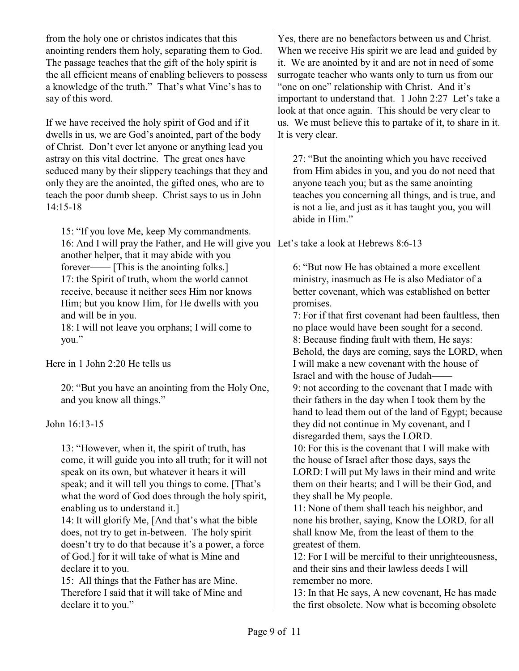from the holy one or christos indicates that this anointing renders them holy, separating them to God. The passage teaches that the gift of the holy spirit is the all efficient means of enabling believers to possess a knowledge of the truth." That's what Vine's has to say of this word.

If we have received the holy spirit of God and if it dwells in us, we are God's anointed, part of the body of Christ. Don't ever let anyone or anything lead you astray on this vital doctrine. The great ones have seduced many by their slippery teachings that they and only they are the anointed, the gifted ones, who are to teach the poor dumb sheep. Christ says to us in John 14:15-18

15: "If you love Me, keep My commandments. 16: And I will pray the Father, and He will give you Let's take a look at Hebrews 8:6-13 another helper, that it may abide with you forever—— [This is the anointing folks.] 17: the Spirit of truth, whom the world cannot receive, because it neither sees Him nor knows Him; but you know Him, for He dwells with you and will be in you.

18: I will not leave you orphans; I will come to you."

Here in 1 John 2:20 He tells us

20: "But you have an anointing from the Holy One, and you know all things."

John 16:13-15

13: "However, when it, the spirit of truth, has come, it will guide you into all truth; for it will not speak on its own, but whatever it hears it will speak; and it will tell you things to come. [That's what the word of God does through the holy spirit, enabling us to understand it.]

14: It will glorify Me, [And that's what the bible does, not try to get in-between. The holy spirit doesn't try to do that because it's a power, a force of God.] for it will take of what is Mine and declare it to you.

15: All things that the Father has are Mine. Therefore I said that it will take of Mine and declare it to you."

Yes, there are no benefactors between us and Christ. When we receive His spirit we are lead and guided by it. We are anointed by it and are not in need of some surrogate teacher who wants only to turn us from our "one on one" relationship with Christ. And it's important to understand that. 1 John 2:27 Let's take a look at that once again. This should be very clear to us. We must believe this to partake of it, to share in it. It is very clear.

27: "But the anointing which you have received from Him abides in you, and you do not need that anyone teach you; but as the same anointing teaches you concerning all things, and is true, and is not a lie, and just as it has taught you, you will abide in Him."

6: "But now He has obtained a more excellent ministry, inasmuch as He is also Mediator of a better covenant, which was established on better promises.

7: For if that first covenant had been faultless, then no place would have been sought for a second. 8: Because finding fault with them, He says: Behold, the days are coming, says the LORD, when I will make a new covenant with the house of Israel and with the house of Judah—— 9: not according to the covenant that I made with their fathers in the day when I took them by the hand to lead them out of the land of Egypt; because they did not continue in My covenant, and I disregarded them, says the LORD. 10: For this is the covenant that I will make with

the house of Israel after those days, says the LORD: I will put My laws in their mind and write them on their hearts; and I will be their God, and they shall be My people.

11: None of them shall teach his neighbor, and none his brother, saying, Know the LORD, for all shall know Me, from the least of them to the greatest of them.

12: For I will be merciful to their unrighteousness, and their sins and their lawless deeds I will remember no more.

13: In that He says, A new covenant, He has made the first obsolete. Now what is becoming obsolete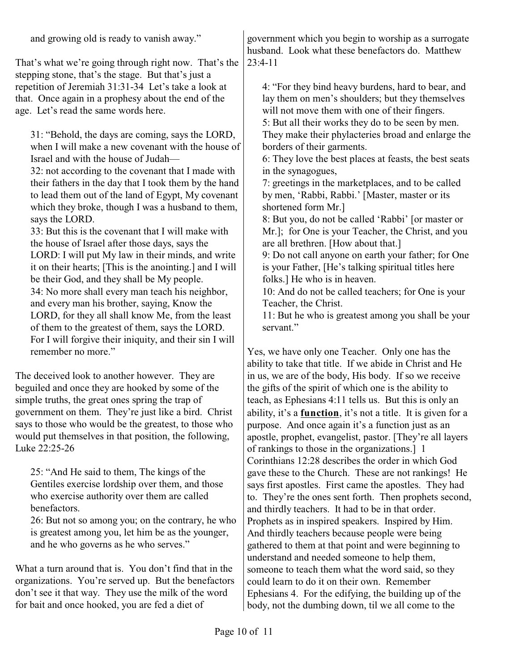That's what we're going through right now. That's the stepping stone, that's the stage. But that's just a repetition of Jeremiah 31:31-34 Let's take a look at that. Once again in a prophesy about the end of the age. Let's read the same words here.

31: "Behold, the days are coming, says the LORD, when I will make a new covenant with the house of Israel and with the house of Judah—

32: not according to the covenant that I made with their fathers in the day that I took them by the hand to lead them out of the land of Egypt, My covenant which they broke, though I was a husband to them, says the LORD.

33: But this is the covenant that I will make with the house of Israel after those days, says the LORD: I will put My law in their minds, and write it on their hearts; [This is the anointing.] and I will be their God, and they shall be My people. 34: No more shall every man teach his neighbor, and every man his brother, saying, Know the LORD, for they all shall know Me, from the least of them to the greatest of them, says the LORD. For I will forgive their iniquity, and their sin I will remember no more."

The deceived look to another however. They are beguiled and once they are hooked by some of the simple truths, the great ones spring the trap of government on them. They're just like a bird. Christ says to those who would be the greatest, to those who would put themselves in that position, the following, Luke 22:25-26

25: "And He said to them, The kings of the Gentiles exercise lordship over them, and those who exercise authority over them are called benefactors.

26: But not so among you; on the contrary, he who is greatest among you, let him be as the younger, and he who governs as he who serves."

What a turn around that is. You don't find that in the organizations. You're served up. But the benefactors don't see it that way. They use the milk of the word for bait and once hooked, you are fed a diet of

government which you begin to worship as a surrogate husband. Look what these benefactors do. Matthew 23:4-11

4: "For they bind heavy burdens, hard to bear, and lay them on men's shoulders; but they themselves will not move them with one of their fingers. 5: But all their works they do to be seen by men.

They make their phylacteries broad and enlarge the borders of their garments.

6: They love the best places at feasts, the best seats in the synagogues,

7: greetings in the marketplaces, and to be called by men, 'Rabbi, Rabbi.' [Master, master or its shortened form Mr.]

8: But you, do not be called 'Rabbi' [or master or Mr.]; for One is your Teacher, the Christ, and you are all brethren. [How about that.]

9: Do not call anyone on earth your father; for One is your Father, [He's talking spiritual titles here folks.] He who is in heaven.

10: And do not be called teachers; for One is your Teacher, the Christ.

11: But he who is greatest among you shall be your servant."

Yes, we have only one Teacher. Only one has the ability to take that title. If we abide in Christ and He in us, we are of the body, His body. If so we receive the gifts of the spirit of which one is the ability to teach, as Ephesians 4:11 tells us. But this is only an ability, it's a **function**, it's not a title. It is given for a purpose. And once again it's a function just as an apostle, prophet, evangelist, pastor. [They're all layers of rankings to those in the organizations.] 1 Corinthians 12:28 describes the order in which God gave these to the Church. These are not rankings! He says first apostles. First came the apostles. They had to. They're the ones sent forth. Then prophets second, and thirdly teachers. It had to be in that order. Prophets as in inspired speakers. Inspired by Him. And thirdly teachers because people were being gathered to them at that point and were beginning to understand and needed someone to help them, someone to teach them what the word said, so they could learn to do it on their own. Remember Ephesians 4. For the edifying, the building up of the body, not the dumbing down, til we all come to the